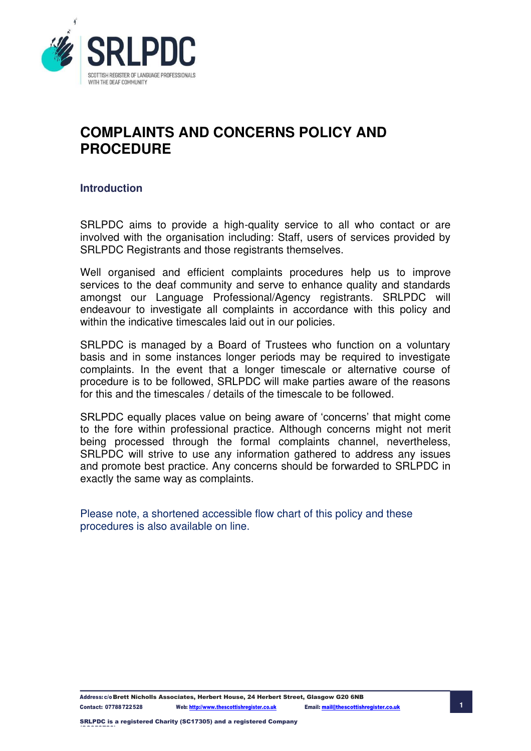

# **COMPLAINTS AND CONCERNS POLICY AND PROCEDURE**

## **Introduction**

SRLPDC aims to provide a high-quality service to all who contact or are involved with the organisation including: Staff, users of services provided by SRLPDC Registrants and those registrants themselves.

Well organised and efficient complaints procedures help us to improve services to the deaf community and serve to enhance quality and standards amongst our Language Professional/Agency registrants. SRLPDC will endeavour to investigate all complaints in accordance with this policy and within the indicative timescales laid out in our policies.

SRLPDC is managed by a Board of Trustees who function on a voluntary basis and in some instances longer periods may be required to investigate complaints. In the event that a longer timescale or alternative course of procedure is to be followed, SRLPDC will make parties aware of the reasons for this and the timescales / details of the timescale to be followed.

SRLPDC equally places value on being aware of 'concerns' that might come to the fore within professional practice. Although concerns might not merit being processed through the formal complaints channel, nevertheless, SRLPDC will strive to use any information gathered to address any issues and promote best practice. Any concerns should be forwarded to SRLPDC in exactly the same way as complaints.

Please note, a shortened accessible flow chart of this policy and these procedures is also available on line.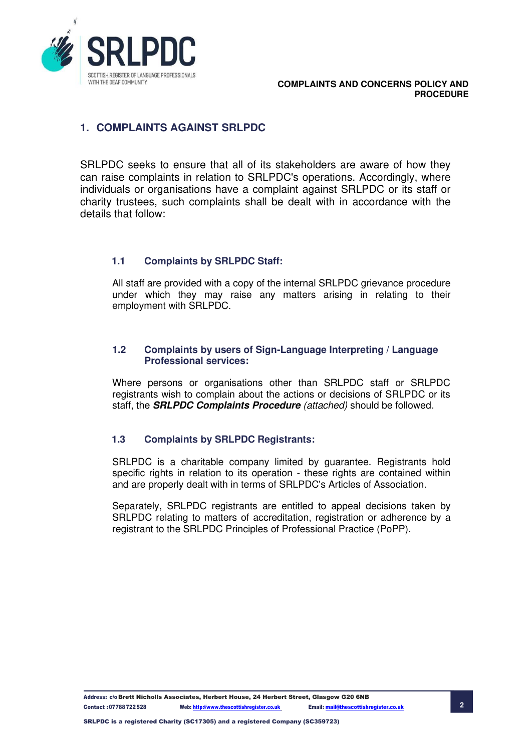

## **1. COMPLAINTS AGAINST SRLPDC**

SRLPDC seeks to ensure that all of its stakeholders are aware of how they can raise complaints in relation to SRLPDC's operations. Accordingly, where individuals or organisations have a complaint against SRLPDC or its staff or charity trustees, such complaints shall be dealt with in accordance with the details that follow:

## **1.1 Complaints by SRLPDC Staff:**

All staff are provided with a copy of the internal SRLPDC grievance procedure under which they may raise any matters arising in relating to their employment with SRLPDC.

#### **1.2 Complaints by users of Sign-Language Interpreting / Language Professional services:**

Where persons or organisations other than SRLPDC staff or SRLPDC registrants wish to complain about the actions or decisions of SRLPDC or its staff, the *SRLPDC Complaints Procedure (attached)* should be followed*.* 

## **1.3 Complaints by SRLPDC Registrants:**

SRLPDC is a charitable company limited by guarantee. Registrants hold specific rights in relation to its operation - these rights are contained within and are properly dealt with in terms of SRLPDC's Articles of Association.

Separately, SRLPDC registrants are entitled to appeal decisions taken by SRLPDC relating to matters of accreditation, registration or adherence by a registrant to the SRLPDC Principles of Professional Practice (PoPP).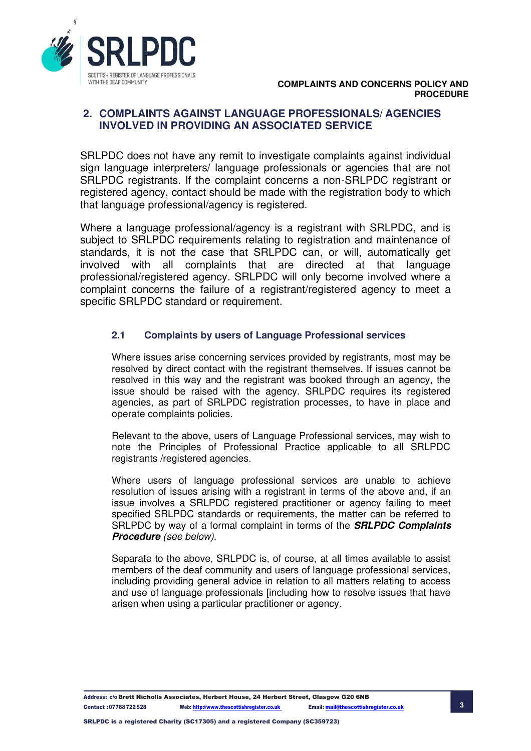

## **2. COMPLAINTS AGAINST LANGUAGE PROFESSIONALS/ AGENCIES INVOLVED IN PROVIDING AN ASSOCIATED SERVICE**

SRLPDC does not have any remit to investigate complaints against individual sign language interpreters/ language professionals or agencies that are not SRLPDC registrants. If the complaint concerns a non-SRLPDC registrant or registered agency, contact should be made with the registration body to which that language professional/agency is registered.

Where a language professional/agency is a registrant with SRLPDC, and is subject to SRLPDC requirements relating to registration and maintenance of standards, it is not the case that SRLPDC can, or will, automatically get involved with all complaints that are directed at that language professional/registered agency. SRLPDC will only become involved where a complaint concerns the failure of a registrant/registered agency to meet a specific SRLPDC standard or requirement.

### **2.1 Complaints by users of Language Professional services**

Where issues arise concerning services provided by registrants, most may be resolved by direct contact with the registrant themselves. If issues cannot be resolved in this way and the registrant was booked through an agency, the issue should be raised with the agency. SRLPDC requires its registered agencies, as part of SRLPDC registration processes, to have in place and operate complaints policies.

Relevant to the above, users of Language Professional services, may wish to note the Principles of Professional Practice applicable to all SRLPDC registrants /registered agencies.

Where users of language professional services are unable to achieve resolution of issues arising with a registrant in terms of the above and, if an issue involves a SRLPDC registered practitioner or agency failing to meet specified SRLPDC standards or requirements, the matter can be referred to SRLPDC by way of a formal complaint in terms of the *SRLPDC Complaints Procedure (see below).* 

Separate to the above, SRLPDC is, of course, at all times available to assist members of the deaf community and users of language professional services, including providing general advice in relation to all matters relating to access and use of language professionals [including how to resolve issues that have arisen when using a particular practitioner or agency.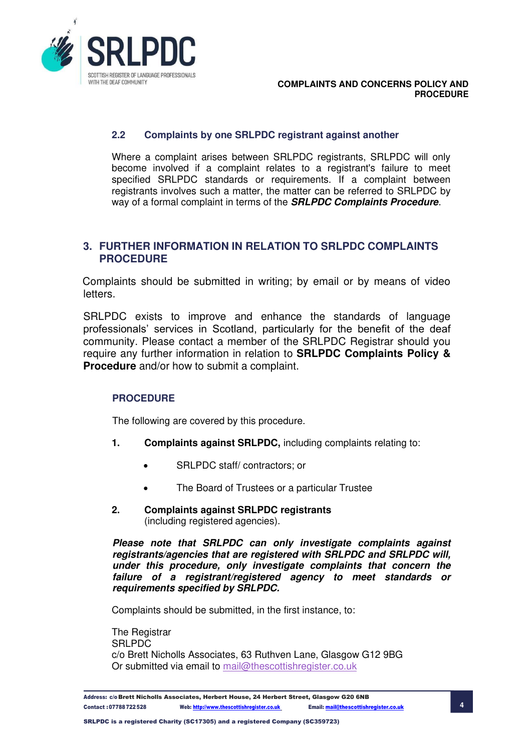

### **2.2 Complaints by one SRLPDC registrant against another**

Where a complaint arises between SRLPDC registrants, SRLPDC will only become involved if a complaint relates to a registrant's failure to meet specified SRLPDC standards or requirements. If a complaint between registrants involves such a matter, the matter can be referred to SRLPDC by way of a formal complaint in terms of the *SRLPDC Complaints Procedure*.

### **3. FURTHER INFORMATION IN RELATION TO SRLPDC COMPLAINTS PROCEDURE**

Complaints should be submitted in writing; by email or by means of video letters.

SRLPDC exists to improve and enhance the standards of language professionals' services in Scotland, particularly for the benefit of the deaf community. Please contact a member of the SRLPDC Registrar should you require any further information in relation to **SRLPDC Complaints Policy & Procedure** and/or how to submit a complaint.

#### **PROCEDURE**

The following are covered by this procedure.

- **1. Complaints against SRLPDC,** including complaints relating to:
	- SRLPDC staff/ contractors; or
	- The Board of Trustees or a particular Trustee
- **2. Complaints against SRLPDC registrants**  (including registered agencies).

*Please note that SRLPDC can only investigate complaints against registrants/agencies that are registered with SRLPDC and SRLPDC will, under this procedure, only investigate complaints that concern the failure of a registrant/registered agency to meet standards or requirements specified by SRLPDC.* 

Complaints should be submitted, in the first instance, to:

The Registrar SRLPDC c/o Brett Nicholls Associates, 63 Ruthven Lane, Glasgow G12 9BG Or submitted via email to [mail@thescottishregister.co.uk](mailto:mail@thescottishregister.co.uk)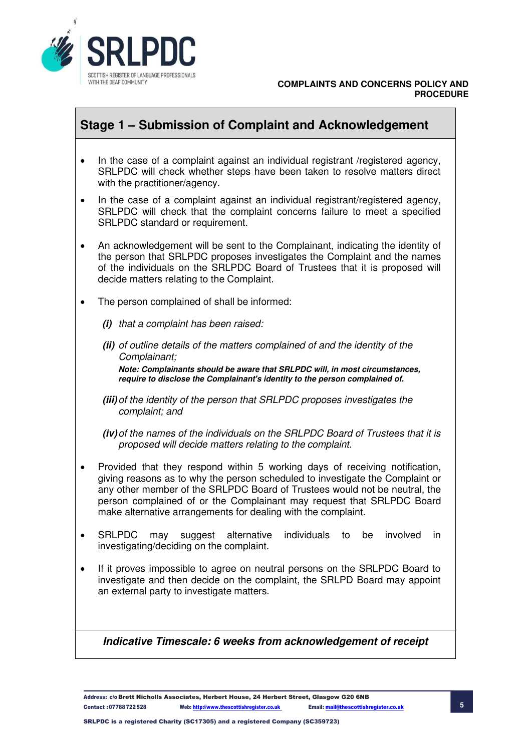

## **Stage 1 – Submission of Complaint and Acknowledgement**

- In the case of a complaint against an individual registrant /registered agency, SRLPDC will check whether steps have been taken to resolve matters direct with the practitioner/agency.
- In the case of a complaint against an individual registrant/registered agency, SRLPDC will check that the complaint concerns failure to meet a specified SRLPDC standard or requirement.
- An acknowledgement will be sent to the Complainant, indicating the identity of the person that SRLPDC proposes investigates the Complaint and the names of the individuals on the SRLPDC Board of Trustees that it is proposed will decide matters relating to the Complaint.
- The person complained of shall be informed:
	- *(i) that a complaint has been raised:*
	- *(ii) of outline details of the matters complained of and the identity of the Complainant;*

*Note: Complainants should be aware that SRLPDC will, in most circumstances, require to disclose the Complainant's identity to the person complained of.* 

- *(iii) of the identity of the person that SRLPDC proposes investigates the complaint; and*
- *(iv) of the names of the individuals on the SRLPDC Board of Trustees that it is proposed will decide matters relating to the complaint.*
- Provided that they respond within 5 working days of receiving notification, giving reasons as to why the person scheduled to investigate the Complaint or any other member of the SRLPDC Board of Trustees would not be neutral, the person complained of or the Complainant may request that SRLPDC Board make alternative arrangements for dealing with the complaint.
- SRLPDC may suggest alternative individuals to be involved in investigating/deciding on the complaint.
- If it proves impossible to agree on neutral persons on the SRLPDC Board to investigate and then decide on the complaint, the SRLPD Board may appoint an external party to investigate matters.

## *Indicative Timescale: 6 weeks from acknowledgement of receipt*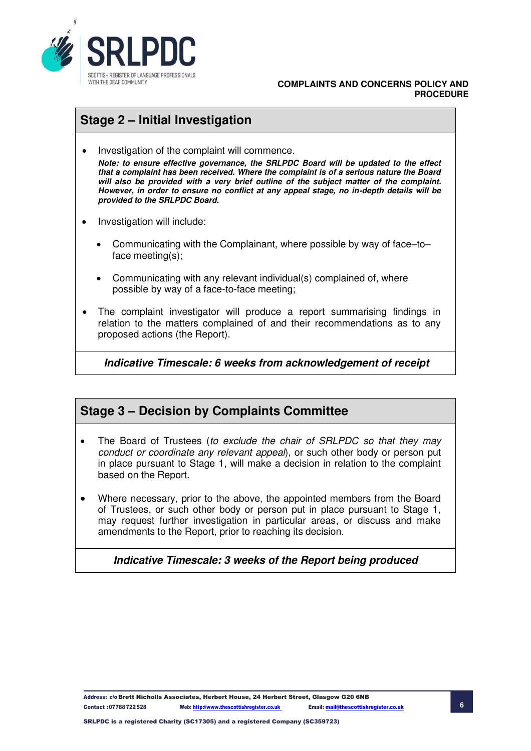

#### **COMPLAINTS AND CONCERNS POLICY AND PROCEDURE**

# **Stage 2 – Initial Investigation**

• Investigation of the complaint will commence.

*Note: to ensure effective governance, the SRLPDC Board will be updated to the effect that a complaint has been received. Where the complaint is of a serious nature the Board will also be provided with a very brief outline of the subject matter of the complaint. However, in order to ensure no conflict at any appeal stage, no in-depth details will be provided to the SRLPDC Board.* 

- Investigation will include:
	- Communicating with the Complainant, where possible by way of face–to– face meeting(s);
	- Communicating with any relevant individual(s) complained of, where possible by way of a face-to-face meeting;
- The complaint investigator will produce a report summarising findings in relation to the matters complained of and their recommendations as to any proposed actions (the Report).

*Indicative Timescale: 6 weeks from acknowledgement of receipt* 

## **Stage 3 – Decision by Complaints Committee**

- The Board of Trustees (*to exclude the chair of SRLPDC so that they may conduct or coordinate any relevant appeal*), or such other body or person put in place pursuant to Stage 1, will make a decision in relation to the complaint based on the Report.
- Where necessary, prior to the above, the appointed members from the Board of Trustees, or such other body or person put in place pursuant to Stage 1, may request further investigation in particular areas, or discuss and make amendments to the Report, prior to reaching its decision.

## *Indicative Timescale: 3 weeks of the Report being produced*